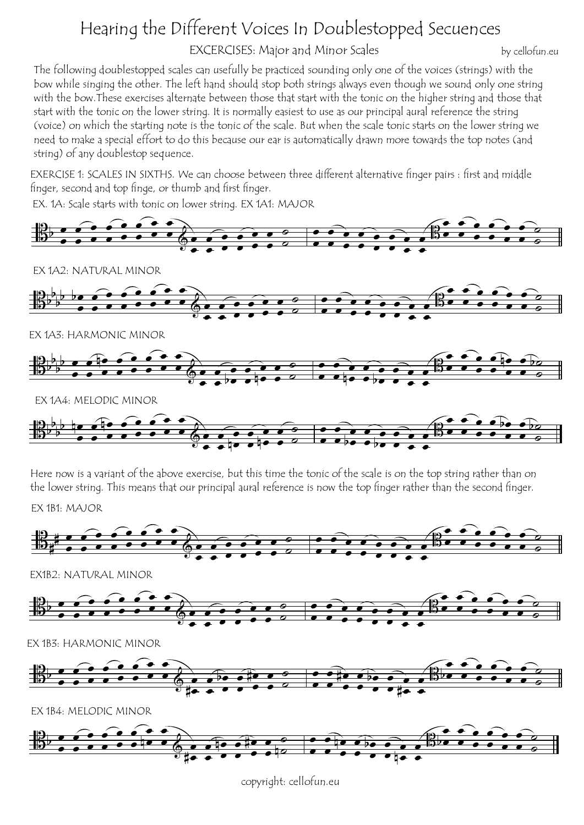## Hearing the Different Voices In Doublestopped Secuences

EXCERCISES: Major and Minor Scales

by cellofun.eu

The following doublestopped scales can usefully be practiced sounding only one of the voices (strings) with the bow while singing the other. The left hand should stop both strings always even though we sound only one string with the bow.These exercises alternate between those that start with the tonic on the higher string and those that start with the tonic on the lower string. It is normally easiest to use as our principal aural reference the string (voice) on which the starting note is the tonic of the scale. But when the scale tonic starts on the lower string we need to make a special effort to do this because our ear is automatically drawn more towards the top notes (and string) of any doublestop sequence.

EXERCISE 1: SCALES IN SIXTHS. We can choose between three different alternative finger pairs : first and middle finger, second and top finge, or thumb and first finger.

EX. 1A: Scale starts with tonic on lower string. EX 1A1: MAJOR





copyright: cellofun.eu